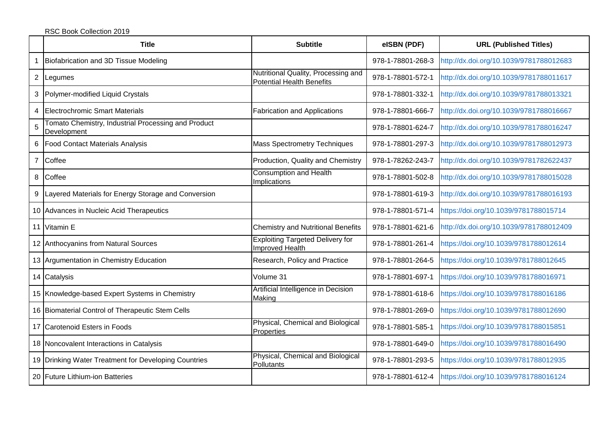|   | <b>Title</b>                                                       | <b>Subtitle</b>                                                         | eISBN (PDF)       | <b>URL (Published Titles)</b>           |
|---|--------------------------------------------------------------------|-------------------------------------------------------------------------|-------------------|-----------------------------------------|
|   | Biofabrication and 3D Tissue Modeling                              |                                                                         | 978-1-78801-268-3 | http://dx.doi.org/10.1039/9781788012683 |
|   | 2 Legumes                                                          | Nutritional Quality, Processing and<br><b>Potential Health Benefits</b> | 978-1-78801-572-1 | http://dx.doi.org/10.1039/9781788011617 |
|   | 3 Polymer-modified Liquid Crystals                                 |                                                                         | 978-1-78801-332-1 | http://dx.doi.org/10.1039/9781788013321 |
| 4 | Electrochromic Smart Materials                                     | <b>Fabrication and Applications</b>                                     | 978-1-78801-666-7 | http://dx.doi.org/10.1039/9781788016667 |
| 5 | Tomato Chemistry, Industrial Processing and Product<br>Development |                                                                         | 978-1-78801-624-7 | http://dx.doi.org/10.1039/9781788016247 |
| 6 | <b>Food Contact Materials Analysis</b>                             | <b>Mass Spectrometry Techniques</b>                                     | 978-1-78801-297-3 | http://dx.doi.org/10.1039/9781788012973 |
|   | 7 Coffee                                                           | Production, Quality and Chemistry                                       | 978-1-78262-243-7 | http://dx.doi.org/10.1039/9781782622437 |
|   | 8 Coffee                                                           | <b>Consumption and Health</b><br>Implications                           | 978-1-78801-502-8 | http://dx.doi.org/10.1039/9781788015028 |
| 9 | Layered Materials for Energy Storage and Conversion                |                                                                         | 978-1-78801-619-3 | http://dx.doi.org/10.1039/9781788016193 |
|   | 10 Advances in Nucleic Acid Therapeutics                           |                                                                         | 978-1-78801-571-4 | https://doi.org/10.1039/9781788015714   |
|   | 11 Vitamin E                                                       | <b>Chemistry and Nutritional Benefits</b>                               | 978-1-78801-621-6 | http://dx.doi.org/10.1039/9781788012409 |
|   | 12 Anthocyanins from Natural Sources                               | <b>Exploiting Targeted Delivery for</b><br>Improved Health              | 978-1-78801-261-4 | https://doi.org/10.1039/9781788012614   |
|   | 13 Argumentation in Chemistry Education                            | Research, Policy and Practice                                           | 978-1-78801-264-5 | https://doi.org/10.1039/9781788012645   |
|   | 14 Catalysis                                                       | Volume 31                                                               | 978-1-78801-697-1 | https://doi.org/10.1039/9781788016971   |
|   | 15 Knowledge-based Expert Systems in Chemistry                     | Artificial Intelligence in Decision<br>Making                           | 978-1-78801-618-6 | https://doi.org/10.1039/9781788016186   |
|   | 16 Biomaterial Control of Therapeutic Stem Cells                   |                                                                         | 978-1-78801-269-0 | https://doi.org/10.1039/9781788012690   |
|   | 17 Carotenoid Esters in Foods                                      | Physical, Chemical and Biological<br>Properties                         | 978-1-78801-585-1 | https://doi.org/10.1039/9781788015851   |
|   | 18 Noncovalent Interactions in Catalysis                           |                                                                         | 978-1-78801-649-0 | https://doi.org/10.1039/9781788016490   |
|   | 19 Drinking Water Treatment for Developing Countries               | Physical, Chemical and Biological<br>Pollutants                         | 978-1-78801-293-5 | https://doi.org/10.1039/9781788012935   |
|   | 20 Future Lithium-ion Batteries                                    |                                                                         | 978-1-78801-612-4 | https://doi.org/10.1039/9781788016124   |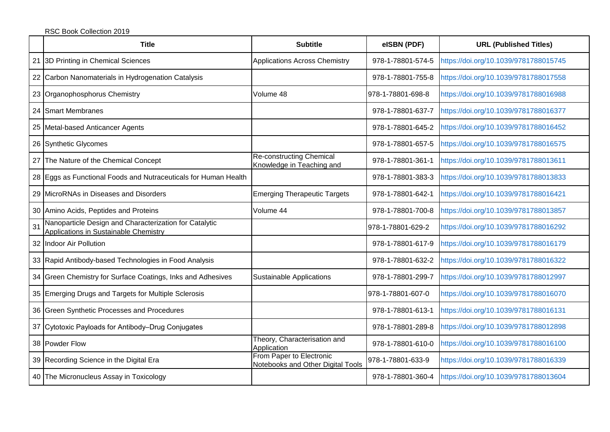|    | <b>Title</b>                                                                                    | <b>Subtitle</b>                                               | eISBN (PDF)       | <b>URL (Published Titles)</b>         |
|----|-------------------------------------------------------------------------------------------------|---------------------------------------------------------------|-------------------|---------------------------------------|
|    | 21 3D Printing in Chemical Sciences                                                             | <b>Applications Across Chemistry</b>                          | 978-1-78801-574-5 | https://doi.org/10.1039/9781788015745 |
|    | 22 Carbon Nanomaterials in Hydrogenation Catalysis                                              |                                                               | 978-1-78801-755-8 | https://doi.org/10.1039/9781788017558 |
|    | 23 Organophosphorus Chemistry                                                                   | Volume 48                                                     | 978-1-78801-698-8 | https://doi.org/10.1039/9781788016988 |
|    | 24 Smart Membranes                                                                              |                                                               | 978-1-78801-637-7 | https://doi.org/10.1039/9781788016377 |
|    | 25 Metal-based Anticancer Agents                                                                |                                                               | 978-1-78801-645-2 | https://doi.org/10.1039/9781788016452 |
|    | 26 Synthetic Glycomes                                                                           |                                                               | 978-1-78801-657-5 | https://doi.org/10.1039/9781788016575 |
|    | 27 The Nature of the Chemical Concept                                                           | <b>Re-constructing Chemical</b><br>Knowledge in Teaching and  | 978-1-78801-361-1 | https://doi.org/10.1039/9781788013611 |
|    | 28 Eggs as Functional Foods and Nutraceuticals for Human Health                                 |                                                               | 978-1-78801-383-3 | https://doi.org/10.1039/9781788013833 |
|    | 29 MicroRNAs in Diseases and Disorders                                                          | <b>Emerging Therapeutic Targets</b>                           | 978-1-78801-642-1 | https://doi.org/10.1039/9781788016421 |
|    | 30 Amino Acids, Peptides and Proteins                                                           | Volume 44                                                     | 978-1-78801-700-8 | https://doi.org/10.1039/9781788013857 |
| 31 | Nanoparticle Design and Characterization for Catalytic<br>Applications in Sustainable Chemistry |                                                               | 978-1-78801-629-2 | https://doi.org/10.1039/9781788016292 |
|    | 32 Indoor Air Pollution                                                                         |                                                               | 978-1-78801-617-9 | https://doi.org/10.1039/9781788016179 |
|    | 33 Rapid Antibody-based Technologies in Food Analysis                                           |                                                               | 978-1-78801-632-2 | https://doi.org/10.1039/9781788016322 |
|    | 34 Green Chemistry for Surface Coatings, Inks and Adhesives                                     | Sustainable Applications                                      | 978-1-78801-299-7 | https://doi.org/10.1039/9781788012997 |
|    | 35 Emerging Drugs and Targets for Multiple Sclerosis                                            |                                                               | 978-1-78801-607-0 | https://doi.org/10.1039/9781788016070 |
|    | 36 Green Synthetic Processes and Procedures                                                     |                                                               | 978-1-78801-613-1 | https://doi.org/10.1039/9781788016131 |
|    | 37 Cytotoxic Payloads for Antibody-Drug Conjugates                                              |                                                               | 978-1-78801-289-8 | https://doi.org/10.1039/9781788012898 |
|    | 38 Powder Flow                                                                                  | Theory, Characterisation and<br>Application                   | 978-1-78801-610-0 | https://doi.org/10.1039/9781788016100 |
|    | 39 Recording Science in the Digital Era                                                         | From Paper to Electronic<br>Notebooks and Other Digital Tools | 978-1-78801-633-9 | https://doi.org/10.1039/9781788016339 |
|    | 40 The Micronucleus Assay in Toxicology                                                         |                                                               | 978-1-78801-360-4 | https://doi.org/10.1039/9781788013604 |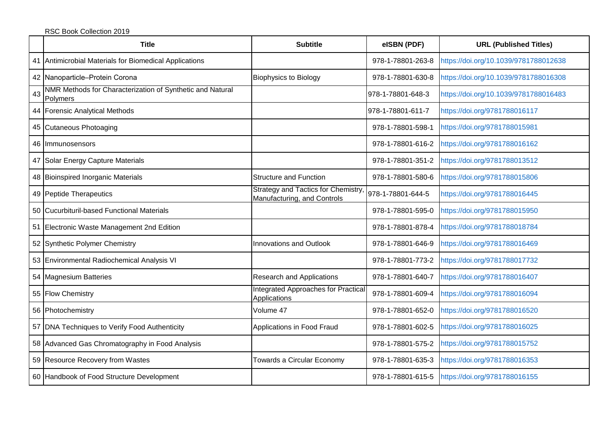|    | <b>Title</b>                                                          | <b>Subtitle</b>                                                                      | eISBN (PDF)       | <b>URL (Published Titles)</b>         |
|----|-----------------------------------------------------------------------|--------------------------------------------------------------------------------------|-------------------|---------------------------------------|
|    | 41   Antimicrobial Materials for Biomedical Applications              |                                                                                      | 978-1-78801-263-8 | https://doi.org/10.1039/9781788012638 |
|    | 42 Nanoparticle-Protein Corona                                        | <b>Biophysics to Biology</b>                                                         | 978-1-78801-630-8 | https://doi.org/10.1039/9781788016308 |
| 43 | NMR Methods for Characterization of Synthetic and Natural<br>Polymers |                                                                                      | 978-1-78801-648-3 | https://doi.org/10.1039/9781788016483 |
|    | 44 Forensic Analytical Methods                                        |                                                                                      | 978-1-78801-611-7 | https://doi.org/9781788016117         |
|    | 45 Cutaneous Photoaging                                               |                                                                                      | 978-1-78801-598-1 | https://doi.org/9781788015981         |
|    | 46 Immunosensors                                                      |                                                                                      | 978-1-78801-616-2 | https://doi.org/9781788016162         |
|    | 47 Solar Energy Capture Materials                                     |                                                                                      | 978-1-78801-351-2 | https://doi.org/9781788013512         |
|    | 48 Bioinspired Inorganic Materials                                    | <b>Structure and Function</b>                                                        | 978-1-78801-580-6 | https://doi.org/9781788015806         |
|    | 49 Peptide Therapeutics                                               | Strategy and Tactics for Chemistry, 978-1-78801-644-5<br>Manufacturing, and Controls |                   | https://doi.org/9781788016445         |
|    | 50 Cucurbituril-based Functional Materials                            |                                                                                      | 978-1-78801-595-0 | https://doi.org/9781788015950         |
|    | 51 Electronic Waste Management 2nd Edition                            |                                                                                      | 978-1-78801-878-4 | https://doi.org/9781788018784         |
|    | 52 Synthetic Polymer Chemistry                                        | Innovations and Outlook                                                              | 978-1-78801-646-9 | https://doi.org/9781788016469         |
|    | 53 Environmental Radiochemical Analysis VI                            |                                                                                      | 978-1-78801-773-2 | https://doi.org/9781788017732         |
|    | 54 Magnesium Batteries                                                | <b>Research and Applications</b>                                                     | 978-1-78801-640-7 | https://doi.org/9781788016407         |
|    | 55 Flow Chemistry                                                     | Integrated Approaches for Practical<br>Applications                                  | 978-1-78801-609-4 | https://doi.org/9781788016094         |
|    | 56 Photochemistry                                                     | Volume 47                                                                            | 978-1-78801-652-0 | https://doi.org/9781788016520         |
|    | 57 DNA Techniques to Verify Food Authenticity                         | Applications in Food Fraud                                                           | 978-1-78801-602-5 | https://doi.org/9781788016025         |
|    | 58 Advanced Gas Chromatography in Food Analysis                       |                                                                                      | 978-1-78801-575-2 | https://doi.org/9781788015752         |
|    | 59 Resource Recovery from Wastes                                      | Towards a Circular Economy                                                           | 978-1-78801-635-3 | https://doi.org/9781788016353         |
|    | 60 Handbook of Food Structure Development                             |                                                                                      | 978-1-78801-615-5 | https://doi.org/9781788016155         |